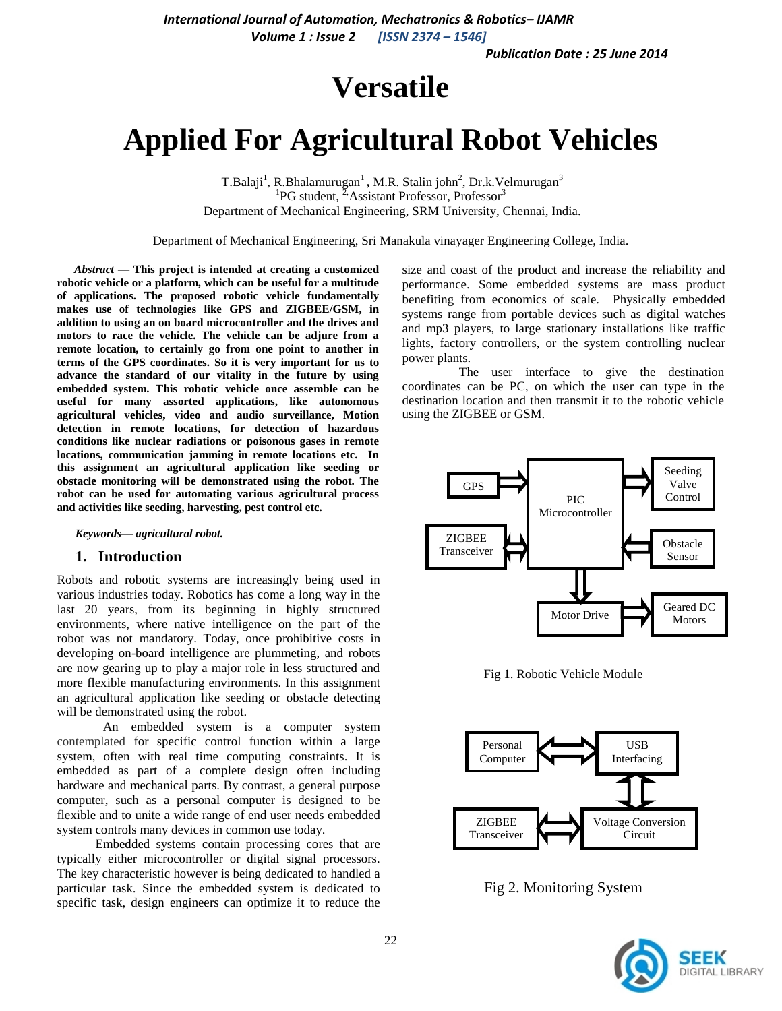*Publication Date : 25 June 2014*

# **Versatile**

# **Applied For Agricultural Robot Vehicles**

T.Balaji<sup>1</sup>, R.Bhalamurugan<sup>1</sup>, M.R. Stalin john<sup>2</sup>, Dr.k.Velmurugan<sup>3</sup> <sup>1</sup>PG student, <sup>2</sup>/Assistant Professor, Professor<sup>3</sup> Department of Mechanical Engineering, SRM University, Chennai, India.

Department of Mechanical Engineering, Sri Manakula vinayager Engineering College, India.

*Abstract* **— This project is intended at creating a customized robotic vehicle or a platform, which can be useful for a multitude of applications. The proposed robotic vehicle fundamentally makes use of technologies like GPS and ZIGBEE/GSM, in addition to using an on board microcontroller and the drives and motors to race the vehicle. The vehicle can be adjure from a remote location, to certainly go from one point to another in terms of the GPS coordinates. So it is very important for us to advance the standard of our vitality in the future by using embedded system. This robotic vehicle once assemble can be useful for many assorted applications, like autonomous agricultural vehicles, video and audio surveillance, Motion detection in remote locations, for detection of hazardous conditions like nuclear radiations or poisonous gases in remote locations, communication jamming in remote locations etc. In this assignment an agricultural application like seeding or obstacle monitoring will be demonstrated using the robot. The robot can be used for automating various agricultural process and activities like seeding, harvesting, pest control etc.**

*Keywords— agricultural robot.*

#### **1. Introduction**

Robots and robotic systems are increasingly being used in various industries today. Robotics has come a long way in the last 20 years, from its beginning in highly structured environments, where native intelligence on the part of the robot was not mandatory. Today, once prohibitive costs in developing on-board intelligence are plummeting, and robots are now gearing up to play a major role in less structured and more flexible manufacturing environments. In this assignment an agricultural application like seeding or obstacle detecting will be demonstrated using the robot.

An embedded system is a computer system contemplated for specific control function within a large system, often with real time computing constraints. It is embedded as part of a complete design often including hardware and mechanical parts. By contrast, a general purpose computer, such as a personal computer is designed to be flexible and to unite a wide range of end user needs embedded system controls many devices in common use today.

 Embedded systems contain processing cores that are typically either microcontroller or digital signal processors. The key characteristic however is being dedicated to handled a particular task. Since the embedded system is dedicated to specific task, design engineers can optimize it to reduce the

size and coast of the product and increase the reliability and performance. Some embedded systems are mass product benefiting from economics of scale. Physically embedded systems range from portable devices such as digital watches and mp3 players, to large stationary installations like traffic lights, factory controllers, or the system controlling nuclear power plants.

 The user interface to give the destination coordinates can be PC, on which the user can type in the destination location and then transmit it to the robotic vehicle using the ZIGBEE or GSM.



Fig 1. Robotic Vehicle Module



Fig 2. Monitoring System

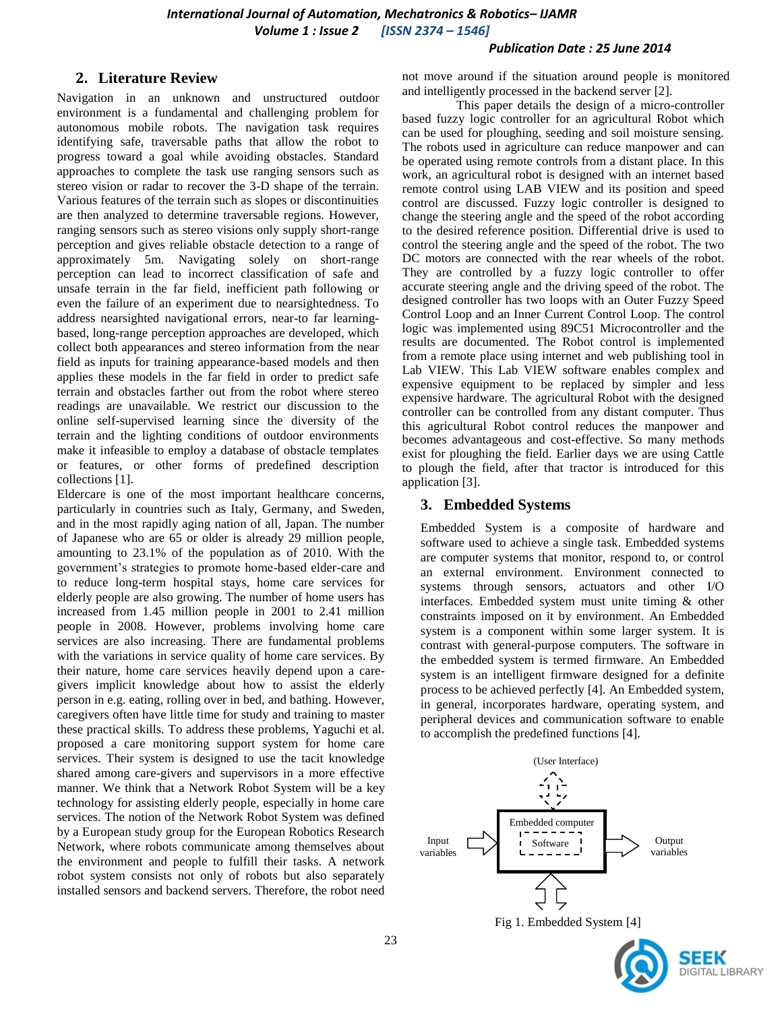### *Publication Date : 25 June 2014*

## **2. Literature Review**

Navigation in an unknown and unstructured outdoor environment is a fundamental and challenging problem for autonomous mobile robots. The navigation task requires identifying safe, traversable paths that allow the robot to progress toward a goal while avoiding obstacles. Standard approaches to complete the task use ranging sensors such as stereo vision or radar to recover the 3-D shape of the terrain. Various features of the terrain such as slopes or discontinuities are then analyzed to determine traversable regions. However, ranging sensors such as stereo visions only supply short-range perception and gives reliable obstacle detection to a range of approximately 5m. Navigating solely on short-range perception can lead to incorrect classification of safe and unsafe terrain in the far field, inefficient path following or even the failure of an experiment due to nearsightedness. To address nearsighted navigational errors, near-to far learningbased, long-range perception approaches are developed, which collect both appearances and stereo information from the near field as inputs for training appearance-based models and then applies these models in the far field in order to predict safe terrain and obstacles farther out from the robot where stereo readings are unavailable. We restrict our discussion to the online self-supervised learning since the diversity of the terrain and the lighting conditions of outdoor environments make it infeasible to employ a database of obstacle templates or features, or other forms of predefined description collections [1].

Eldercare is one of the most important healthcare concerns, particularly in countries such as Italy, Germany, and Sweden, and in the most rapidly aging nation of all, Japan. The number of Japanese who are 65 or older is already 29 million people, amounting to 23.1% of the population as of 2010. With the government's strategies to promote home-based elder-care and to reduce long-term hospital stays, home care services for elderly people are also growing. The number of home users has increased from 1.45 million people in 2001 to 2.41 million people in 2008. However, problems involving home care services are also increasing. There are fundamental problems with the variations in service quality of home care services. By their nature, home care services heavily depend upon a caregivers implicit knowledge about how to assist the elderly person in e.g. eating, rolling over in bed, and bathing. However, caregivers often have little time for study and training to master these practical skills. To address these problems, Yaguchi et al. proposed a care monitoring support system for home care services. Their system is designed to use the tacit knowledge shared among care-givers and supervisors in a more effective manner. We think that a Network Robot System will be a key technology for assisting elderly people, especially in home care services. The notion of the Network Robot System was defined by a European study group for the European Robotics Research Network, where robots communicate among themselves about the environment and people to fulfill their tasks. A network robot system consists not only of robots but also separately installed sensors and backend servers. Therefore, the robot need not move around if the situation around people is monitored and intelligently processed in the backend server [2].

 This paper details the design of a micro-controller based fuzzy logic controller for an agricultural Robot which can be used for ploughing, seeding and soil moisture sensing. The robots used in agriculture can reduce manpower and can be operated using remote controls from a distant place. In this work, an agricultural robot is designed with an internet based remote control using LAB VIEW and its position and speed control are discussed. Fuzzy logic controller is designed to change the steering angle and the speed of the robot according to the desired reference position. Differential drive is used to control the steering angle and the speed of the robot. The two DC motors are connected with the rear wheels of the robot. They are controlled by a fuzzy logic controller to offer accurate steering angle and the driving speed of the robot. The designed controller has two loops with an Outer Fuzzy Speed Control Loop and an Inner Current Control Loop. The control logic was implemented using 89C51 Microcontroller and the results are documented. The Robot control is implemented from a remote place using internet and web publishing tool in Lab VIEW. This Lab VIEW software enables complex and expensive equipment to be replaced by simpler and less expensive hardware. The agricultural Robot with the designed controller can be controlled from any distant computer. Thus this agricultural Robot control reduces the manpower and becomes advantageous and cost-effective. So many methods exist for ploughing the field. Earlier days we are using Cattle to plough the field, after that tractor is introduced for this application [3].

### **3. Embedded Systems**

Embedded System is a composite of hardware and software used to achieve a single task. Embedded systems are computer systems that monitor, respond to, or control an external environment. Environment connected to systems through sensors, actuators and other I/O interfaces. Embedded system must unite timing & other constraints imposed on it by environment. An Embedded system is a component within some larger system. It is contrast with general-purpose computers. The software in the embedded system is termed firmware. An Embedded system is an intelligent firmware designed for a definite process to be achieved perfectly [4]. An Embedded system, in general, incorporates hardware, operating system, and peripheral devices and communication software to enable to accomplish the predefined functions [4].



Fig 1. Embedded System [4]

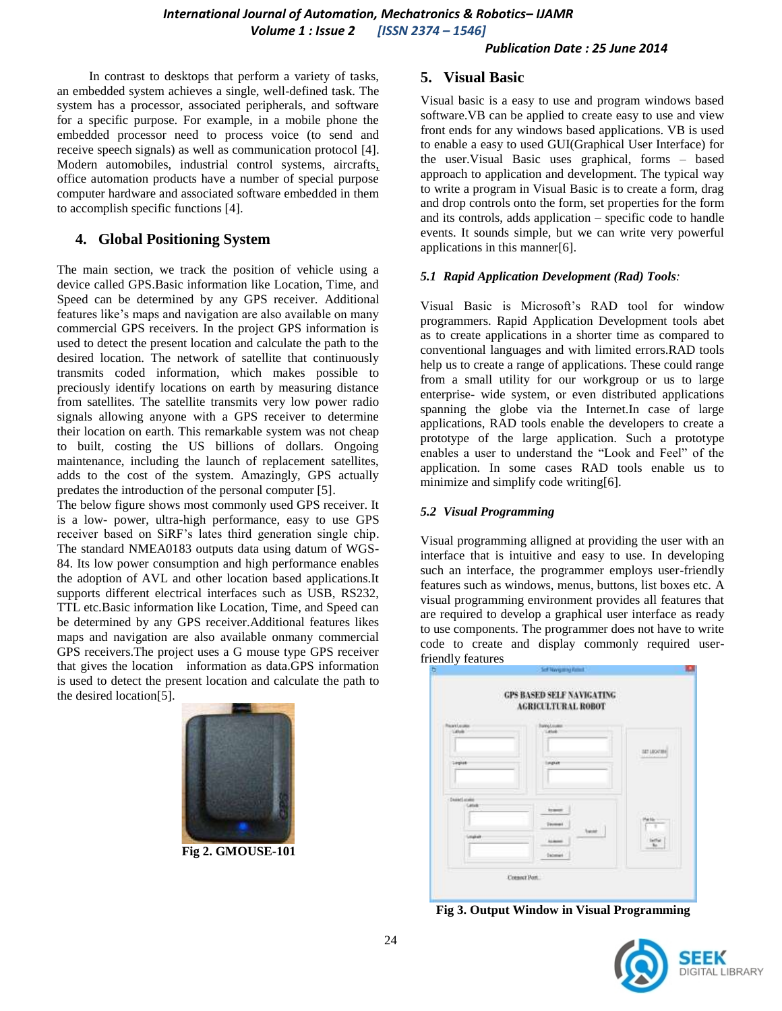### *Publication Date : 25 June 2014*

 In contrast to desktops that perform a variety of tasks, an embedded system achieves a single, well-defined task. The system has a processor, associated peripherals, and software for a specific purpose. For example, in a mobile phone the embedded processor need to process voice (to send and receive speech signals) as well as communication protocol [4]. Modern automobiles, industrial control systems, aircrafts, office automation products have a number of special purpose computer hardware and associated software embedded in them to accomplish specific functions [4].

## **4. Global Positioning System**

The main section, we track the position of vehicle using a device called GPS.Basic information like Location, Time, and Speed can be determined by any GPS receiver. Additional features like's maps and navigation are also available on many commercial GPS receivers. In the project GPS information is used to detect the present location and calculate the path to the desired location. The network of satellite that continuously transmits coded information, which makes possible to preciously identify locations on earth by measuring distance from satellites. The satellite transmits very low power radio signals allowing anyone with a GPS receiver to determine their location on earth. This remarkable system was not cheap to built, costing the US billions of dollars. Ongoing maintenance, including the launch of replacement satellites, adds to the cost of the system. Amazingly, GPS actually predates the introduction of the personal computer [5].

The below figure shows most commonly used GPS receiver. It is a low- power, ultra-high performance, easy to use GPS receiver based on SiRF's lates third generation single chip. The standard NMEA0183 outputs data using datum of WGS-84. Its low power consumption and high performance enables the adoption of AVL and other location based applications.It supports different electrical interfaces such as USB, RS232, TTL etc.Basic information like Location, Time, and Speed can be determined by any GPS receiver.Additional features likes maps and navigation are also available onmany commercial GPS receivers.The project uses a G mouse type GPS receiver that gives the location information as data.GPS information is used to detect the present location and calculate the path to the desired location[5].



**Fig 2. GMOUSE-101**

## **5. Visual Basic**

Visual basic is a easy to use and program windows based software.VB can be applied to create easy to use and view front ends for any windows based applications. VB is used to enable a easy to used GUI(Graphical User Interface) for the user.Visual Basic uses graphical, forms – based approach to application and development. The typical way to write a program in Visual Basic is to create a form, drag and drop controls onto the form, set properties for the form and its controls, adds application – specific code to handle events. It sounds simple, but we can write very powerful applications in this manner[6].

#### *5.1 Rapid Application Development (Rad) Tools:*

Visual Basic is Microsoft's RAD tool for window programmers. Rapid Application Development tools abet as to create applications in a shorter time as compared to conventional languages and with limited errors.RAD tools help us to create a range of applications. These could range from a small utility for our workgroup or us to large enterprise- wide system, or even distributed applications spanning the globe via the Internet.In case of large applications, RAD tools enable the developers to create a prototype of the large application. Such a prototype enables a user to understand the "Look and Feel" of the application. In some cases RAD tools enable us to minimize and simplify code writing[6].

### *5.2 Visual Programming*

Visual programming alligned at providing the user with an interface that is intuitive and easy to use. In developing such an interface, the programmer employs user-friendly features such as windows, menus, buttons, list boxes etc. A visual programming environment provides all features that are required to develop a graphical user interface as ready to use components. The programmer does not have to write code to create and display commonly required userfriendly features



**Fig 3. Output Window in Visual Programming**

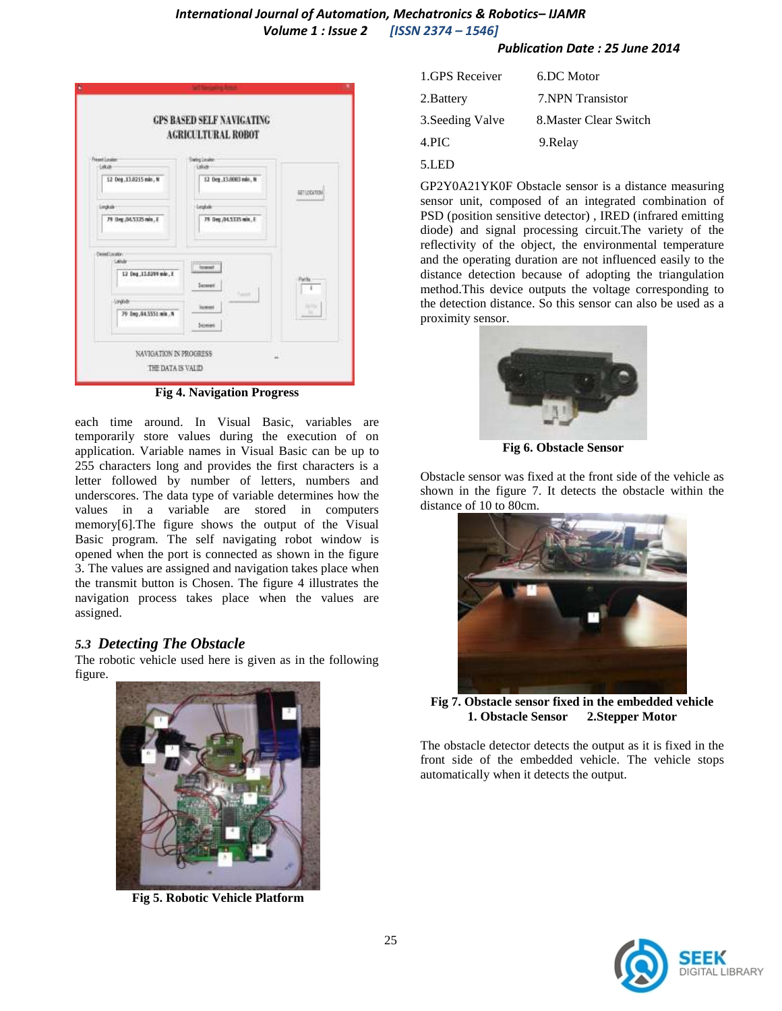# *International Journal of Automation, Mechatronics & Robotics– IJAMR Volume 1 : Issue 2 [ISSN 2374 – 1546]*

*Publication Date : 25 June 2014*

|                                                  | <b>AGRICULTURAL ROBOT</b>              |                     |
|--------------------------------------------------|----------------------------------------|---------------------|
| <b>Fremt Loyder</b><br>$-1400$                   | Institute Electronication<br>$-1.0628$ |                     |
| 12 Org. 13.8215 min. N                           | 12 Deg., 13.8083 min., N               | <b>SET-LOCATION</b> |
| <b>Lindkak</b>                                   | Legion/                                |                     |
| 79 Deg.04.5125 min., E                           | 79 Sep /M.SZZS mix, E                  |                     |
| Deset Location<br>Latule<br>12 Deg.11.0299 min.1 | <b>Instant</b><br><b>Seamer</b>        | Perlu               |
| <b>Longium</b><br>79 Beg, 84.5551 min., N        | <b>Somes</b>                           | First Vita<br>ш     |

**Fig 4. Navigation Progress**

each time around. In Visual Basic, variables are temporarily store values during the execution of on application. Variable names in Visual Basic can be up to 255 characters long and provides the first characters is a letter followed by number of letters, numbers and underscores. The data type of variable determines how the values in a variable are stored in computers memory[6].The figure shows the output of the Visual Basic program. The self navigating robot window is opened when the port is connected as shown in the figure 3. The values are assigned and navigation takes place when the transmit button is Chosen. The figure 4 illustrates the navigation process takes place when the values are assigned.

## *5.3 Detecting The Obstacle*

The robotic vehicle used here is given as in the following figure.



**Fig 5. Robotic Vehicle Platform**

| 1.GPS Receiver   | 6.DC Motor             |
|------------------|------------------------|
| 2. Battery       | 7. NPN Transistor      |
| 3. Seeding Valve | 8. Master Clear Switch |
| 4.PIC            | 9. Relay               |
| 5.LED            |                        |

GP2Y0A21YK0F Obstacle sensor is a distance measuring sensor unit, composed of an integrated combination of PSD (position sensitive detector) , IRED (infrared emitting diode) and signal processing circuit.The variety of the reflectivity of the object, the environmental temperature and the operating duration are not influenced easily to the distance detection because of adopting the triangulation method.This device outputs the voltage corresponding to the detection distance. So this sensor can also be used as a proximity sensor.



**Fig 6. Obstacle Sensor**

Obstacle sensor was fixed at the front side of the vehicle as shown in the figure 7. It detects the obstacle within the distance of 10 to 80cm.



**Fig 7. Obstacle sensor fixed in the embedded vehicle 1. Obstacle Sensor 2.Stepper Motor**

The obstacle detector detects the output as it is fixed in the front side of the embedded vehicle. The vehicle stops automatically when it detects the output.